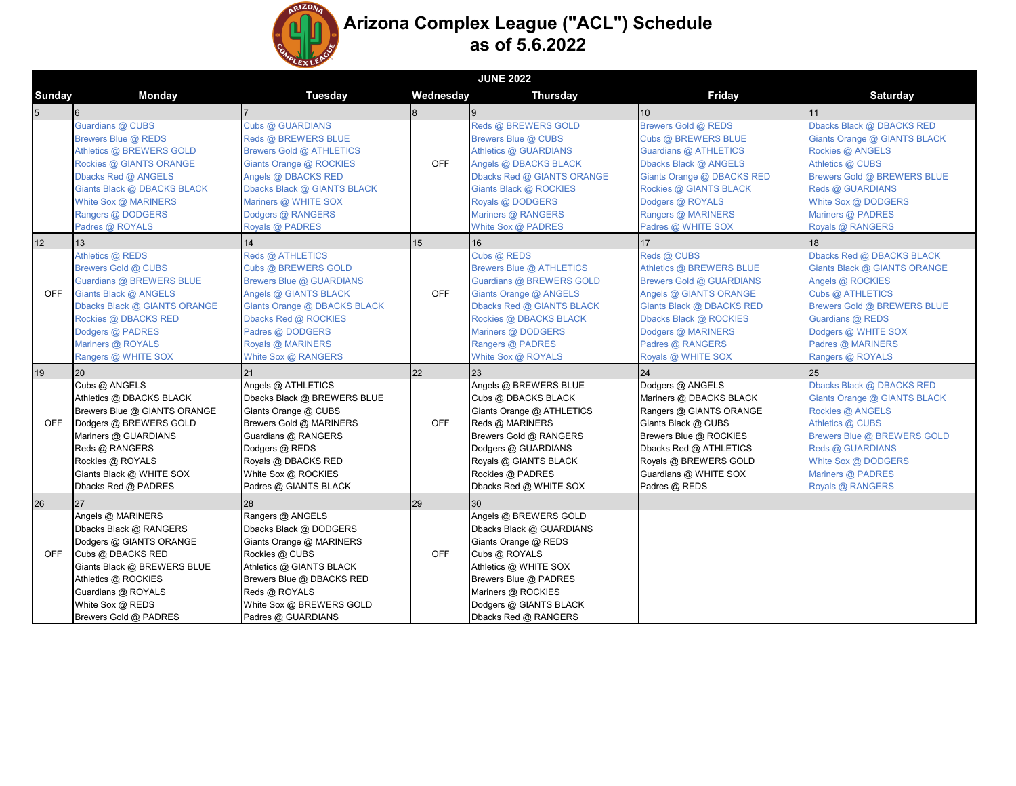

## **Arizona Complex League ("ACL") Schedule as of 5.6.2022**

|                | <b>JUNE 2022</b>                                                                                                                                                                                                     |                                                                                                                                                                                                                             |            |                                                                                                                                                                                                                      |                                                                                                                                                                                                                      |                                                                                                                                                                                                                      |  |  |  |
|----------------|----------------------------------------------------------------------------------------------------------------------------------------------------------------------------------------------------------------------|-----------------------------------------------------------------------------------------------------------------------------------------------------------------------------------------------------------------------------|------------|----------------------------------------------------------------------------------------------------------------------------------------------------------------------------------------------------------------------|----------------------------------------------------------------------------------------------------------------------------------------------------------------------------------------------------------------------|----------------------------------------------------------------------------------------------------------------------------------------------------------------------------------------------------------------------|--|--|--|
| Sunday         | Monday                                                                                                                                                                                                               | <b>Tuesday</b>                                                                                                                                                                                                              | Wednesday  | <b>Thursday</b>                                                                                                                                                                                                      | Friday                                                                                                                                                                                                               | <b>Saturday</b>                                                                                                                                                                                                      |  |  |  |
| $\overline{5}$ | 6                                                                                                                                                                                                                    |                                                                                                                                                                                                                             |            |                                                                                                                                                                                                                      | 10                                                                                                                                                                                                                   | 11                                                                                                                                                                                                                   |  |  |  |
|                | Guardians @ CUBS<br>Brewers Blue @ REDS<br>Athletics @ BREWERS GOLD<br>Rockies @ GIANTS ORANGE<br>Dbacks Red @ ANGELS<br>Giants Black @ DBACKS BLACK<br>White Sox @ MARINERS<br>Rangers @ DODGERS<br>Padres @ ROYALS | Cubs @ GUARDIANS<br>Reds @ BREWERS BLUE<br><b>Brewers Gold @ ATHLETICS</b><br>Giants Orange @ ROCKIES<br>Angels @ DBACKS RED<br>Dbacks Black @ GIANTS BLACK<br>Mariners @ WHITE SOX<br>Dodgers @ RANGERS<br>Royals @ PADRES | <b>OFF</b> | Reds @ BREWERS GOLD<br>Brewers Blue @ CUBS<br>Athletics @ GUARDIANS<br>Angels @ DBACKS BLACK<br>Dbacks Red @ GIANTS ORANGE<br>Giants Black @ ROCKIES<br>Royals @ DODGERS<br>Mariners @ RANGERS<br>White Sox @ PADRES | Brewers Gold @ REDS<br>Cubs @ BREWERS BLUE<br>Guardians @ ATHLETICS<br>Dbacks Black @ ANGELS<br>Giants Orange @ DBACKS RED<br>Rockies @ GIANTS BLACK<br>Dodgers @ ROYALS<br>Rangers @ MARINERS<br>Padres @ WHITE SOX | Dbacks Black @ DBACKS RED<br>Giants Orange @ GIANTS BLACK<br>Rockies @ ANGELS<br>Athletics @ CUBS<br>Brewers Gold @ BREWERS BLUE<br>Reds @ GUARDIANS<br>White Sox @ DODGERS<br>Mariners @ PADRES<br>Royals @ RANGERS |  |  |  |
| 12             | 13                                                                                                                                                                                                                   | 14                                                                                                                                                                                                                          | 15         | 16                                                                                                                                                                                                                   | $17\,$                                                                                                                                                                                                               | 18                                                                                                                                                                                                                   |  |  |  |
| <b>OFF</b>     | Athletics @ REDS<br>Brewers Gold @ CUBS<br>Guardians @ BREWERS BLUE<br>Giants Black @ ANGELS<br>Dbacks Black @ GIANTS ORANGE<br>Rockies @ DBACKS RED<br>Dodgers @ PADRES<br>Mariners @ ROYALS<br>Rangers @ WHITE SOX | Reds @ ATHLETICS<br>Cubs @ BREWERS GOLD<br>Brewers Blue @ GUARDIANS<br>Angels @ GIANTS BLACK<br>Giants Orange @ DBACKS BLACK<br>Dbacks Red @ ROCKIES<br>Padres @ DODGERS<br>Royals @ MARINERS<br>White Sox @ RANGERS        | <b>OFF</b> | Cubs @ REDS<br>Brewers Blue @ ATHLETICS<br>Guardians @ BREWERS GOLD<br>Giants Orange @ ANGELS<br>Dbacks Red @ GIANTS BLACK<br>Rockies @ DBACKS BLACK<br>Mariners @ DODGERS<br>Rangers @ PADRES<br>White Sox @ ROYALS | Reds @ CUBS<br>Athletics @ BREWERS BLUE<br>Brewers Gold @ GUARDIANS<br>Angels @ GIANTS ORANGE<br>Giants Black @ DBACKS RED<br>Dbacks Black @ ROCKIES<br>Dodgers @ MARINERS<br>Padres @ RANGERS<br>Royals @ WHITE SOX | Dbacks Red @ DBACKS BLACK<br>Giants Black @ GIANTS ORANGE<br>Angels @ ROCKIES<br>Cubs @ ATHLETICS<br>Brewers Gold @ BREWERS BLUE<br>Guardians @ REDS<br>Dodgers @ WHITE SOX<br>Padres @ MARINERS<br>Rangers @ ROYALS |  |  |  |
| 19             | 20                                                                                                                                                                                                                   | 21                                                                                                                                                                                                                          | 22         | 23                                                                                                                                                                                                                   | 24                                                                                                                                                                                                                   | 25                                                                                                                                                                                                                   |  |  |  |
| <b>OFF</b>     | Cubs @ ANGELS<br>Athletics @ DBACKS BLACK<br>Brewers Blue @ GIANTS ORANGE<br>Dodgers @ BREWERS GOLD<br>Mariners @ GUARDIANS<br>Reds @ RANGERS<br>Rockies @ ROYALS<br>Giants Black @ WHITE SOX<br>Dbacks Red @ PADRES | Angels @ ATHLETICS<br>Dbacks Black @ BREWERS BLUE<br>Giants Orange @ CUBS<br>Brewers Gold @ MARINERS<br>Guardians @ RANGERS<br>Dodgers @ REDS<br>Royals @ DBACKS RED<br>White Sox @ ROCKIES<br>Padres @ GIANTS BLACK        | <b>OFF</b> | Angels @ BREWERS BLUE<br>Cubs @ DBACKS BLACK<br>Giants Orange @ ATHLETICS<br>Reds @ MARINERS<br>Brewers Gold @ RANGERS<br>Dodgers @ GUARDIANS<br>Royals @ GIANTS BLACK<br>Rockies @ PADRES<br>Dbacks Red @ WHITE SOX | Dodgers @ ANGELS<br>Mariners @ DBACKS BLACK<br>Rangers @ GIANTS ORANGE<br>Giants Black @ CUBS<br>Brewers Blue @ ROCKIES<br>Dbacks Red @ ATHLETICS<br>Royals @ BREWERS GOLD<br>Guardians @ WHITE SOX<br>Padres @ REDS | Dbacks Black @ DBACKS RED<br>Giants Orange @ GIANTS BLACK<br>Rockies @ ANGELS<br>Athletics @ CUBS<br>Brewers Blue @ BREWERS GOLD<br>Reds @ GUARDIANS<br>White Sox @ DODGERS<br>Mariners @ PADRES<br>Royals @ RANGERS |  |  |  |
| 26             | 27                                                                                                                                                                                                                   | 28                                                                                                                                                                                                                          | 29         | 30                                                                                                                                                                                                                   |                                                                                                                                                                                                                      |                                                                                                                                                                                                                      |  |  |  |
| <b>OFF</b>     | Angels @ MARINERS<br>Dbacks Black @ RANGERS<br>Dodgers @ GIANTS ORANGE<br>Cubs @ DBACKS RED<br>Giants Black @ BREWERS BLUE<br>Athletics @ ROCKIES<br>Guardians @ ROYALS<br>White Sox @ REDS<br>Brewers Gold @ PADRES | Rangers @ ANGELS<br>Dbacks Black @ DODGERS<br>Giants Orange @ MARINERS<br>Rockies @ CUBS<br>Athletics @ GIANTS BLACK<br>Brewers Blue @ DBACKS RED<br>Reds @ ROYALS<br>White Sox @ BREWERS GOLD<br>Padres @ GUARDIANS        | <b>OFF</b> | Angels @ BREWERS GOLD<br>Dbacks Black @ GUARDIANS<br>Giants Orange @ REDS<br>Cubs @ ROYALS<br>Athletics @ WHITE SOX<br>Brewers Blue @ PADRES<br>Mariners @ ROCKIES<br>Dodgers @ GIANTS BLACK<br>Dbacks Red @ RANGERS |                                                                                                                                                                                                                      |                                                                                                                                                                                                                      |  |  |  |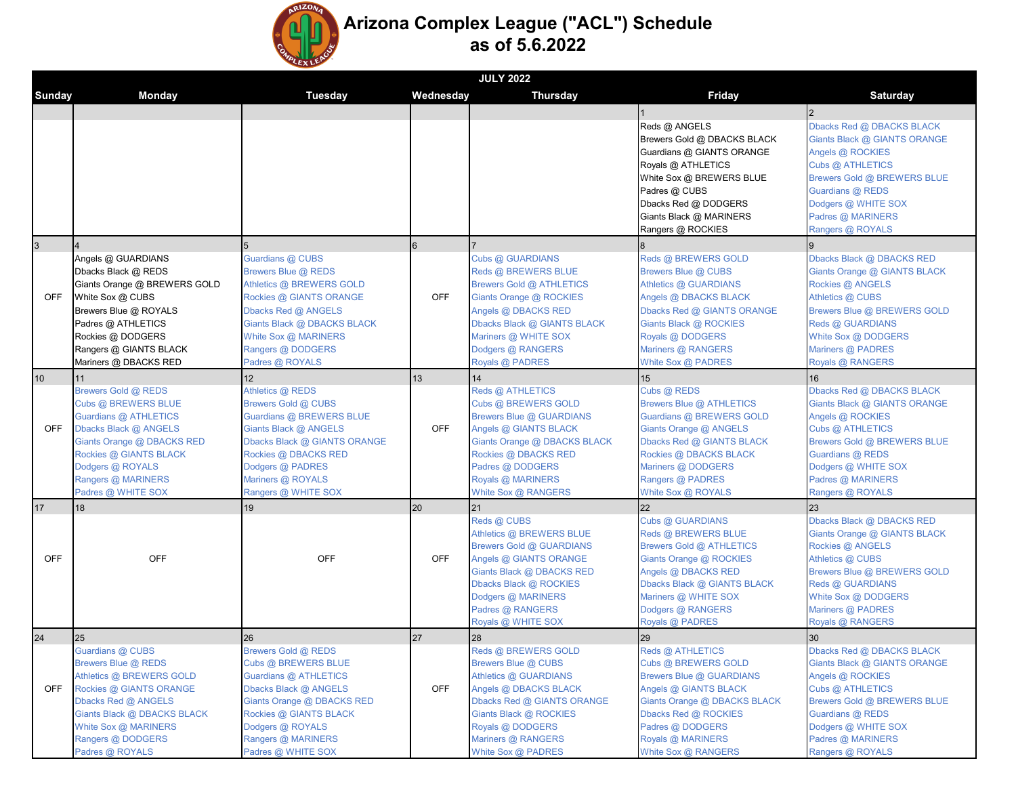

## **Arizona Complex League ("ACL") Schedule as of 5.6.2022**

|                |                                                 |                                                |            | <b>JULY 2022</b>                             |                                                 |                                                 |
|----------------|-------------------------------------------------|------------------------------------------------|------------|----------------------------------------------|-------------------------------------------------|-------------------------------------------------|
| Sunday         | Monday                                          | <b>Tuesday</b>                                 | Wednesdav  | <b>Thursday</b>                              | Friday                                          | <b>Saturday</b>                                 |
|                |                                                 |                                                |            |                                              |                                                 | $\overline{2}$                                  |
|                |                                                 |                                                |            |                                              | Reds @ ANGELS                                   | Dbacks Red @ DBACKS BLACK                       |
|                |                                                 |                                                |            |                                              | Brewers Gold @ DBACKS BLACK                     | Giants Black @ GIANTS ORANGE                    |
|                |                                                 |                                                |            |                                              | Guardians @ GIANTS ORANGE                       | Angels @ ROCKIES                                |
|                |                                                 |                                                |            |                                              | Royals @ ATHLETICS                              | Cubs @ ATHLETICS                                |
|                |                                                 |                                                |            |                                              | White Sox @ BREWERS BLUE                        | Brewers Gold @ BREWERS BLUE                     |
|                |                                                 |                                                |            |                                              | Padres @ CUBS                                   | Guardians @ REDS                                |
|                |                                                 |                                                |            |                                              | Dbacks Red @ DODGERS                            | Dodgers @ WHITE SOX                             |
|                |                                                 |                                                |            |                                              | Giants Black @ MARINERS                         | Padres @ MARINERS                               |
|                |                                                 |                                                |            |                                              | Rangers @ ROCKIES                               | Rangers @ ROYALS                                |
| $\overline{3}$ |                                                 |                                                | 6          |                                              |                                                 | 9                                               |
|                | Angels @ GUARDIANS                              | Guardians @ CUBS                               |            | Cubs @ GUARDIANS                             | Reds @ BREWERS GOLD                             | Dbacks Black @ DBACKS RED                       |
|                | Dbacks Black @ REDS                             | Brewers Blue @ REDS                            |            | Reds @ BREWERS BLUE                          | Brewers Blue @ CUBS                             | Giants Orange @ GIANTS BLACK                    |
|                | Giants Orange @ BREWERS GOLD                    | Athletics @ BREWERS GOLD                       |            | <b>Brewers Gold @ ATHLETICS</b>              | Athletics @ GUARDIANS                           | Rockies @ ANGELS                                |
| <b>OFF</b>     | White Sox @ CUBS                                | Rockies @ GIANTS ORANGE                        | <b>OFF</b> | Giants Orange @ ROCKIES                      | Angels @ DBACKS BLACK                           | Athletics @ CUBS                                |
|                | Brewers Blue @ ROYALS                           | Dbacks Red @ ANGELS                            |            | Angels @ DBACKS RED                          | Dbacks Red @ GIANTS ORANGE                      | Brewers Blue @ BREWERS GOLD                     |
|                | Padres @ ATHLETICS                              | Giants Black @ DBACKS BLACK                    |            | Dbacks Black @ GIANTS BLACK                  | Giants Black @ ROCKIES                          | Reds @ GUARDIANS                                |
|                | Rockies @ DODGERS                               | White Sox @ MARINERS                           |            | Mariners @ WHITE SOX                         | Royals @ DODGERS                                | White Sox @ DODGERS                             |
|                | Rangers @ GIANTS BLACK                          | Rangers @ DODGERS                              |            | Dodgers @ RANGERS                            | Mariners @ RANGERS                              | Mariners @ PADRES                               |
|                | Mariners @ DBACKS RED                           | Padres @ ROYALS                                |            | Royals @ PADRES                              | White Sox @ PADRES                              | Royals @ RANGERS                                |
| 10             | 11                                              | 12 <sup>12</sup>                               | 13         | 14                                           | 15                                              | 16                                              |
|                | Brewers Gold @ REDS                             | Athletics @ REDS                               |            | Reds @ ATHLETICS                             | Cubs @ REDS                                     | Dbacks Red @ DBACKS BLACK                       |
|                | Cubs @ BREWERS BLUE                             | Brewers Gold @ CUBS                            |            | Cubs @ BREWERS GOLD                          | Brewers Blue @ ATHLETICS                        | Giants Black @ GIANTS ORANGE                    |
|                | Guardians @ ATHLETICS                           | Guardians @ BREWERS BLUE                       |            | Brewers Blue @ GUARDIANS                     | Guardians @ BREWERS GOLD                        | Angels @ ROCKIES                                |
| <b>OFF</b>     | Dbacks Black @ ANGELS                           | Giants Black @ ANGELS                          | <b>OFF</b> | Angels @ GIANTS BLACK                        | Giants Orange @ ANGELS                          | Cubs @ ATHLETICS                                |
|                | Giants Orange @ DBACKS RED                      | Dbacks Black @ GIANTS ORANGE                   |            | Giants Orange @ DBACKS BLACK                 | Dbacks Red @ GIANTS BLACK                       | Brewers Gold @ BREWERS BLUE                     |
|                | Rockies @ GIANTS BLACK                          | Rockies @ DBACKS RED                           |            | Rockies @ DBACKS RED                         | Rockies @ DBACKS BLACK                          | Guardians @ REDS                                |
|                | Dodgers @ ROYALS                                | Dodgers @ PADRES                               |            | Padres @ DODGERS                             | Mariners @ DODGERS                              | Dodgers @ WHITE SOX                             |
|                | Rangers @ MARINERS                              | Mariners @ ROYALS                              |            | Royals @ MARINERS                            | Rangers @ PADRES                                | Padres @ MARINERS                               |
|                | Padres @ WHITE SOX                              | Rangers @ WHITE SOX                            |            | White Sox @ RANGERS                          | White Sox @ ROYALS                              | Rangers @ ROYALS                                |
| 17             | 18                                              | 19                                             | 20         | 21                                           | 22                                              | 23                                              |
| <b>OFF</b>     |                                                 |                                                |            | Reds @ CUBS                                  | Cubs @ GUARDIANS                                | Dbacks Black @ DBACKS RED                       |
|                |                                                 |                                                |            | Athletics @ BREWERS BLUE                     | Reds @ BREWERS BLUE                             | Giants Orange @ GIANTS BLACK                    |
|                |                                                 |                                                |            | <b>Brewers Gold @ GUARDIANS</b>              | <b>Brewers Gold @ ATHLETICS</b>                 | Rockies @ ANGELS                                |
|                | OFF                                             | <b>OFF</b>                                     | <b>OFF</b> | Angels @ GIANTS ORANGE                       | Giants Orange @ ROCKIES                         | Athletics @ CUBS                                |
|                |                                                 |                                                |            | Giants Black @ DBACKS RED                    | Angels @ DBACKS RED                             | Brewers Blue @ BREWERS GOLD                     |
|                |                                                 |                                                |            | Dbacks Black @ ROCKIES                       | Dbacks Black @ GIANTS BLACK                     | Reds @ GUARDIANS                                |
|                |                                                 |                                                |            | Dodgers @ MARINERS                           | Mariners @ WHITE SOX                            | White Sox @ DODGERS                             |
|                |                                                 |                                                |            | Padres @ RANGERS                             | Dodgers @ RANGERS                               | Mariners @ PADRES                               |
|                |                                                 |                                                |            | Royals @ WHITE SOX                           | Royals @ PADRES                                 | Royals @ RANGERS                                |
| 24             | 25                                              | 26                                             | 27         | 28                                           | 29                                              | 30                                              |
|                | Guardians @ CUBS                                | Brewers Gold @ REDS                            | <b>OFF</b> | Reds @ BREWERS GOLD                          | Reds @ ATHLETICS                                | Dbacks Red @ DBACKS BLACK                       |
| <b>OFF</b>     | Brewers Blue @ REDS<br>Athletics @ BREWERS GOLD | Cubs @ BREWERS BLUE                            |            | Brewers Blue @ CUBS<br>Athletics @ GUARDIANS | Cubs @ BREWERS GOLD<br>Brewers Blue @ GUARDIANS | Giants Black @ GIANTS ORANGE                    |
|                | Rockies @ GIANTS ORANGE                         | Guardians @ ATHLETICS<br>Dbacks Black @ ANGELS |            | Angels @ DBACKS BLACK                        | Angels @ GIANTS BLACK                           | Angels @ ROCKIES                                |
|                | Dbacks Red @ ANGELS                             | Giants Orange @ DBACKS RED                     |            | Dbacks Red @ GIANTS ORANGE                   | Giants Orange @ DBACKS BLACK                    | Cubs @ ATHLETICS<br>Brewers Gold @ BREWERS BLUE |
|                | Giants Black @ DBACKS BLACK                     | Rockies @ GIANTS BLACK                         |            | Giants Black @ ROCKIES                       | Dbacks Red @ ROCKIES                            | Guardians @ REDS                                |
|                | White Sox @ MARINERS                            | Dodgers @ ROYALS                               |            | Royals @ DODGERS                             | Padres @ DODGERS                                | Dodgers @ WHITE SOX                             |
|                | Rangers @ DODGERS                               | Rangers @ MARINERS                             |            | Mariners @ RANGERS                           | Royals @ MARINERS                               | Padres @ MARINERS                               |
|                | Padres @ ROYALS                                 | Padres @ WHITE SOX                             |            | White Sox @ PADRES                           | White Sox @ RANGERS                             | Rangers @ ROYALS                                |